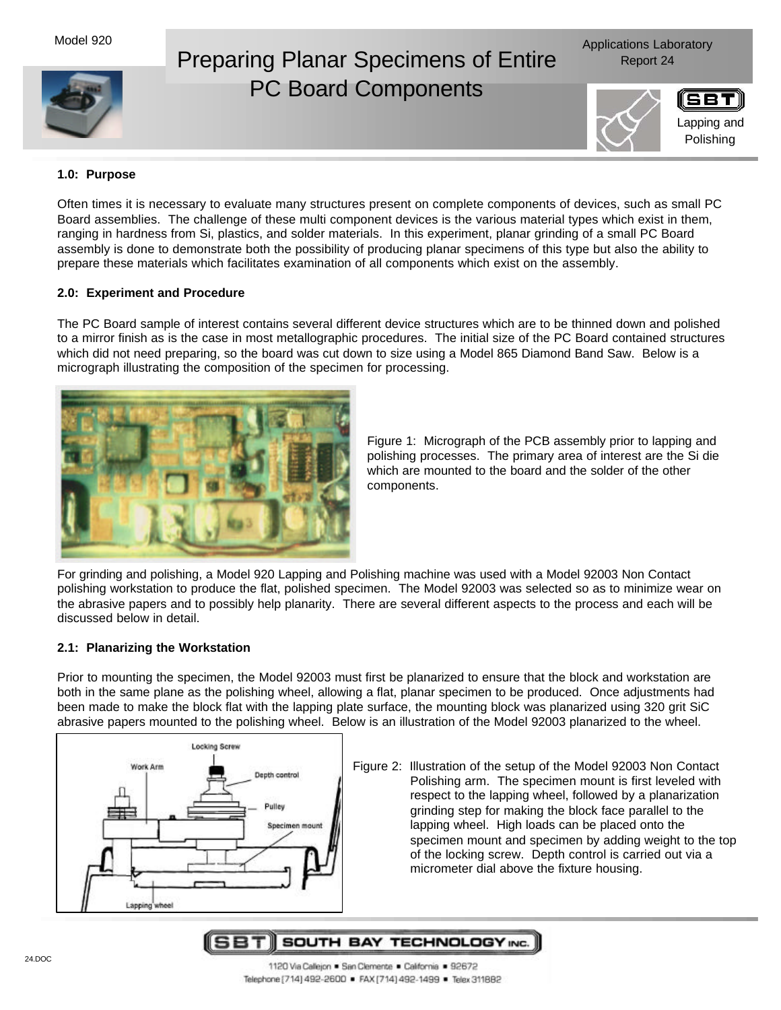# Preparing Planar Specimens of Entire Report 24 PC Board Components

Applications Laboratory



# **1.0: Purpose**

Often times it is necessary to evaluate many structures present on complete components of devices, such as small PC Board assemblies. The challenge of these multi component devices is the various material types which exist in them, ranging in hardness from Si, plastics, and solder materials. In this experiment, planar grinding of a small PC Board assembly is done to demonstrate both the possibility of producing planar specimens of this type but also the ability to prepare these materials which facilitates examination of all components which exist on the assembly.

# **2.0: Experiment and Procedure**

The PC Board sample of interest contains several different device structures which are to be thinned down and polished to a mirror finish as is the case in most metallographic procedures. The initial size of the PC Board contained structures which did not need preparing, so the board was cut down to size using a Model 865 Diamond Band Saw. Below is a micrograph illustrating the composition of the specimen for processing.



Figure 1: Micrograph of the PCB assembly prior to lapping and polishing processes. The primary area of interest are the Si die which are mounted to the board and the solder of the other components.

For grinding and polishing, a Model 920 Lapping and Polishing machine was used with a Model 92003 Non Contact polishing workstation to produce the flat, polished specimen. The Model 92003 was selected so as to minimize wear on the abrasive papers and to possibly help planarity. There are several different aspects to the process and each will be discussed below in detail.

# **2.1: Planarizing the Workstation**

Prior to mounting the specimen, the Model 92003 must first be planarized to ensure that the block and workstation are both in the same plane as the polishing wheel, allowing a flat, planar specimen to be produced. Once adjustments had been made to make the block flat with the lapping plate surface, the mounting block was planarized using 320 grit SiC abrasive papers mounted to the polishing wheel. Below is an illustration of the Model 92003 planarized to the wheel.



Figure 2: Illustration of the setup of the Model 92003 Non Contact Polishing arm. The specimen mount is first leveled with respect to the lapping wheel, followed by a planarization grinding step for making the block face parallel to the lapping wheel. High loads can be placed onto the specimen mount and specimen by adding weight to the top of the locking screw. Depth control is carried out via a micrometer dial above the fixture housing.

5BT|| SOUTH BAY TECHNOLOGY INC.